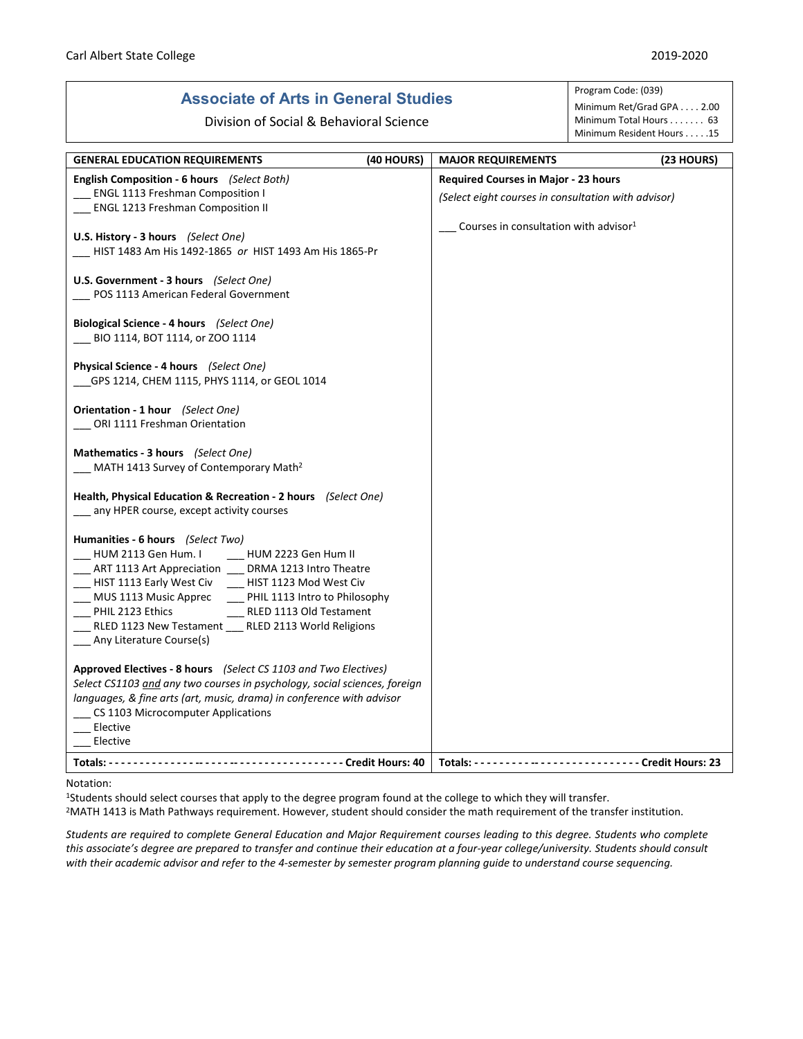# **Associate of Arts in General Studies**

Division of Social & Behavioral Science

#### Program Code: (039) Minimum Ret/Grad GPA . . . . 2.00 Minimum Total Hours . . . . . . . 63 Minimum Resident Hours . . . . .15

| <b>GENERAL EDUCATION REQUIREMENTS</b><br>(40 HOURS)                                                                                                                                                                                                                                                                                                                                          | <b>MAJOR REQUIREMENTS</b>                           | (23 HOURS) |
|----------------------------------------------------------------------------------------------------------------------------------------------------------------------------------------------------------------------------------------------------------------------------------------------------------------------------------------------------------------------------------------------|-----------------------------------------------------|------------|
| English Composition - 6 hours (Select Both)                                                                                                                                                                                                                                                                                                                                                  | <b>Required Courses in Major - 23 hours</b>         |            |
| <b>ENGL 1113 Freshman Composition I</b>                                                                                                                                                                                                                                                                                                                                                      | (Select eight courses in consultation with advisor) |            |
| ENGL 1213 Freshman Composition II                                                                                                                                                                                                                                                                                                                                                            |                                                     |            |
| U.S. History - 3 hours (Select One)<br>HIST 1483 Am His 1492-1865 or HIST 1493 Am His 1865-Pr                                                                                                                                                                                                                                                                                                | Courses in consultation with advisor <sup>1</sup>   |            |
| <b>U.S. Government - 3 hours</b> (Select One)<br>POS 1113 American Federal Government                                                                                                                                                                                                                                                                                                        |                                                     |            |
| <b>Biological Science - 4 hours</b> (Select One)<br>BIO 1114, BOT 1114, or ZOO 1114                                                                                                                                                                                                                                                                                                          |                                                     |            |
| Physical Science - 4 hours (Select One)<br>GPS 1214, CHEM 1115, PHYS 1114, or GEOL 1014                                                                                                                                                                                                                                                                                                      |                                                     |            |
| Orientation - 1 hour (Select One)<br>ORI 1111 Freshman Orientation                                                                                                                                                                                                                                                                                                                           |                                                     |            |
| Mathematics - 3 hours (Select One)<br>MATH 1413 Survey of Contemporary Math <sup>2</sup>                                                                                                                                                                                                                                                                                                     |                                                     |            |
| Health, Physical Education & Recreation - 2 hours (Select One)<br>any HPER course, except activity courses                                                                                                                                                                                                                                                                                   |                                                     |            |
| Humanities - 6 hours (Select Two)<br>HUM 2223 Gen Hum II<br>HUM 2113 Gen Hum. I<br>___ ART 1113 Art Appreciation ___ DRMA 1213 Intro Theatre<br>HIST 1113 Early West Civ<br>HIST 1123 Mod West Civ<br>MUS 1113 Music Apprec PHIL 1113 Intro to Philosophy<br>PHIL 2123 Ethics<br>__ RLED 1113 Old Testament<br>RLED 1123 New Testament RLED 2113 World Religions<br>Any Literature Course(s) |                                                     |            |
| Approved Electives - 8 hours (Select CS 1103 and Two Electives)<br>Select CS1103 and any two courses in psychology, social sciences, foreign<br>languages, & fine arts (art, music, drama) in conference with advisor<br>CS 1103 Microcomputer Applications<br>Elective<br>Elective                                                                                                          |                                                     |            |
|                                                                                                                                                                                                                                                                                                                                                                                              | Totals: $--$                                        |            |

### Notation:

1Students should select courses that apply to the degree program found at the college to which they will transfer.

<sup>2</sup>MATH 1413 is Math Pathways requirement. However, student should consider the math requirement of the transfer institution.

*Students are required to complete General Education and Major Requirement courses leading to this degree. Students who complete this associate's degree are prepared to transfer and continue their education at a four-year college/university. Students should consult with their academic advisor and refer to the 4-semester by semester program planning guide to understand course sequencing.*